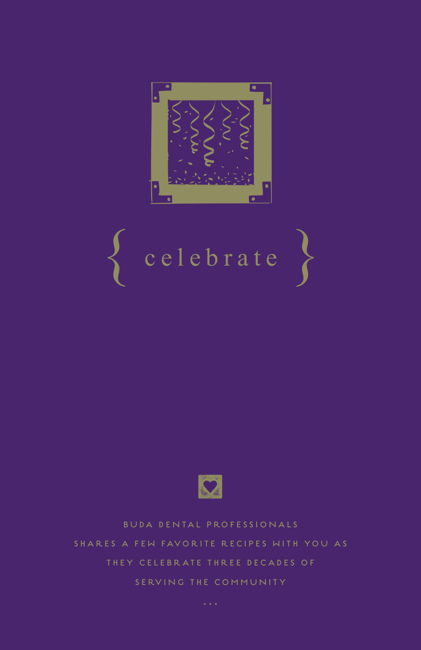

# ${ c e l e b r a t e }$



BUDA DENTAL PROFESSIONALS SHARES A FEW FAVORITE RECIPES WITH YOU AS THEY CELEBRATE THREE DECADES OF SERVING THE COMMUNITY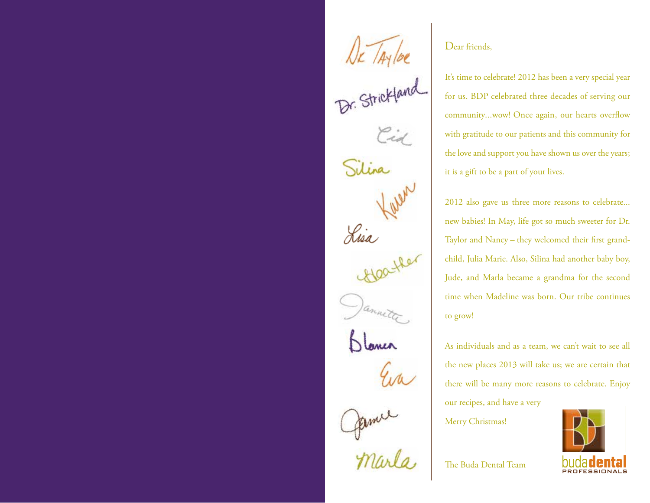NK /Aylor<br>Dr. Strickland Silina Lisa James

#### Dear friends,

It's time to celebrate! 2012 has been a very special year for us. BDP celebrated three decades of serving our community...wow! Once again, our hearts overflow with gratitude to our patients and this community for the love and support you have shown us over the years; it is a gift to be a part of your lives.

2012 also gave us three more reasons to celebrate... new babies! In May, life got so much sweeter for Dr. Taylor and Nancy – they welcomed their first grandchild, Julia Marie. Also, Silina had another baby boy, Jude, and Marla became a grandma for the second time when Madeline was born. Our tribe continues to grow!

As individuals and as a team, we can't wait to see all the new places 2013 will take us; we are certain that there will be many more reasons to celebrate. Enjoy our recipes, and have a very

Merry Christmas!



The Buda Dental Team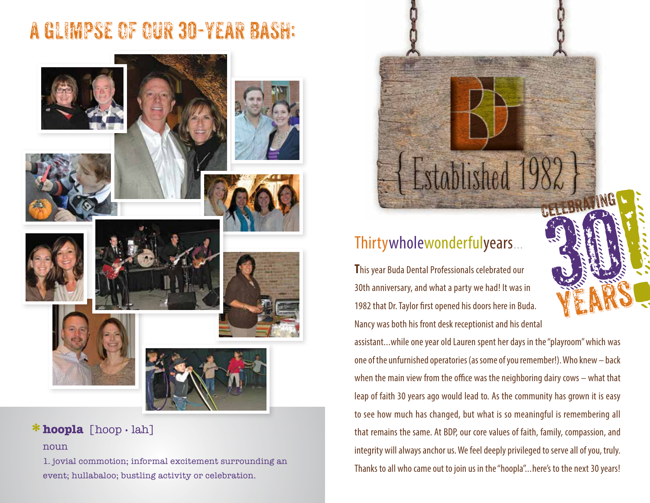# A GLIMPSE OF OUR 30-YEAR BASH:



# **hoopla** [hoop • lah] **\***

#### noun

1. jovial commotion; informal excitement surrounding an event; hullabaloo; bustling activity or celebration.



### Thirtywholewonderfulyears...

**T**his year Buda Dental Professionals celebrated our 30th anniversary, and what a party we had! It was in 1982 that Dr. Taylor first opened his doors here in Buda. Nancy was both his front desk receptionist and his dental

assistant...while one year old Lauren spent her days in the "playroom" which was one of the unfurnished operatories (as some of you remember!). Who knew – back when the main view from the office was the neighboring dairy cows – what that leap of faith 30 years ago would lead to. As the community has grown it is easy to see how much has changed, but what is so meaningful is remembering all that remains the same. At BDP, our core values of faith, family, compassion, and integrity will always anchor us. We feel deeply privileged to serve all of you, truly. Thanks to all who came out to join us in the "hoopla"...here's to the next 30 years!

yEars

September 1999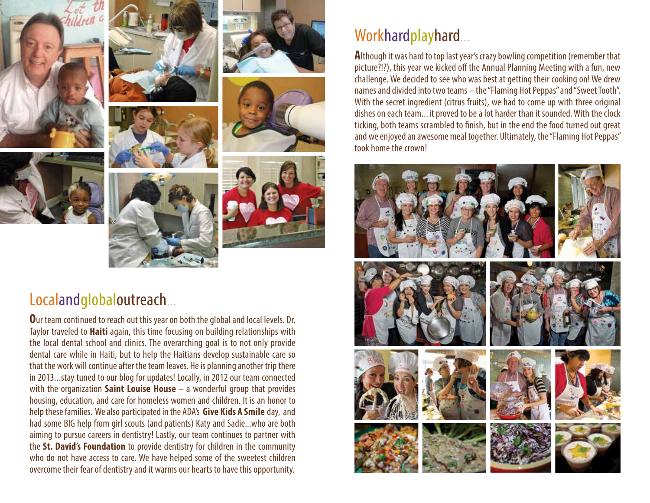













## Localandglobaloutreach...

**O**ur team continued to reach out this year on both the global and local levels. Dr. Taylor traveled to **Haiti** again, this time focusing on building relationships with the local dental school and clinics. The overarching goal is to not only provide dental care while in Haiti, but to help the Haitians develop sustainable care so that the work will continue after the team leaves. He is planning another trip there in 2013...stay tuned to our blog for updates! Locally, in 2012 our team connected with the organization **Saint Louise House** – a wonderful group that provides housing, education, and care for homeless women and children. It is an honor to help these families. We also participated in the ADA's **Give Kids A Smile** day, and had some BIG help from girl scouts (and patients) Katy and Sadie...who are both aiming to pursue careers in dentistry! Lastly, our team continues to partner with the **St. David's Foundation** to provide dentistry for children in the community who do not have access to care. We have helped some of the sweetest children overcome their fear of dentistry and it warms our hearts to have this opportunity.

## Workhardplayhard...

**A**lthough it was hard to top last year's crazy bowling competition (remember that picture?!?), this year we kicked off the Annual Planning Meeting with a fun, new challenge. We decided to see who was best at getting their cooking on! We drew names and divided into two teams – the "Flaming Hot Peppas" and "Sweet Tooth". With the secret ingredient (citrus fruits), we had to come up with three original dishes on each team... it proved to be a lot harder than it sounded. With the clock ticking, both teams scrambled to finish, but in the end the food turned out great and we enjoyed an awesome meal together. Ultimately, the "Flaming Hot Peppas" took home the crown!

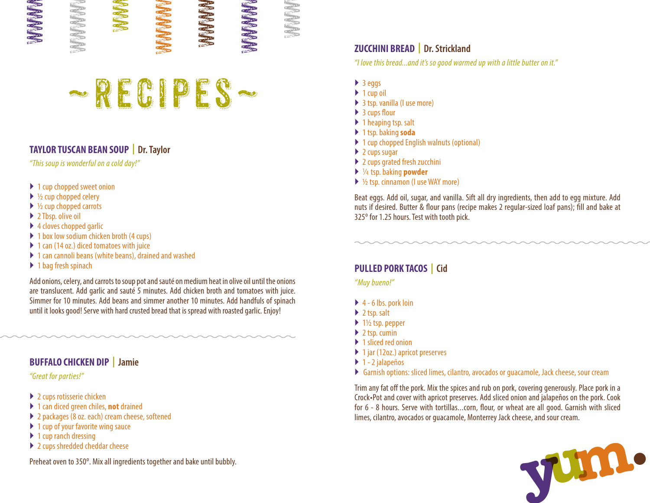

#### **TAYLOR TUSCAN BEAN SOUP | Dr. Taylor**

"This soup is wonderful on a cold day!"

- ▶ 1 cup chopped sweet onion
- $\blacktriangleright$  1/2 cup chopped celery
- $\triangleright$  1/2 cup chopped carrots
- ▶ 2 Tbsp. olive oil
- $\blacktriangleright$  4 cloves chopped garlic
- $\blacktriangleright$  1 box low sodium chicken broth (4 cups)
- ▶ 1 can (14 oz.) diced tomatoes with juice
- ▶ 1 can cannoli beans (white beans), drained and washed
- ▶ 1 bag fresh spinach

Add onions, celery, and carrots to soup pot and sauté on medium heat in olive oil until the onions are translucent. Add garlic and sauté 5 minutes. Add chicken broth and tomatoes with juice. Simmer for 10 minutes. Add beans and simmer another 10 minutes. Add handfuls of spinach until it looks good! Serve with hard crusted bread that is spread with roasted garlic. Enjoy!

#### **BUFFALO CHICKEN DIP | Jamie**

"Great for parties!"

- ▶ 2 cups rotisserie chicken
- ▶ 1 can diced green chiles, **not** drained
- ▶ 2 packages (8 oz. each) cream cheese, softened
- $\blacktriangleright$  1 cup of your favorite wing sauce
- $\blacktriangleright$  1 cup ranch dressing
- ▶ 2 cups shredded cheddar cheese

#### **ZUCCHINI BREAD | Dr. Strickland**

"I love this bread...and it's so good warmed up with a little butter on it."

 $\blacktriangleright$  3 eggs

WWWWW

- $\blacktriangleright$  1 cup oil
- ▶ 3 tsp. vanilla (I use more)
- ▶ 3 cups flour
- $\blacktriangleright$  1 heaping tsp. salt
- } 1 tsp. baking **soda**
- ▶ 1 cup chopped English walnuts (optional)
- $\blacktriangleright$  2 cups sugar
- ▶ 2 cups grated fresh zucchini
- } 1 ⁄4 tsp. baking **powder**
- ▶ ½ tsp. cinnamon (I use WAY more)

Beat eggs. Add oil, sugar, and vanilla. Sift all dry ingredients, then add to egg mixture. Add nuts if desired. Butter & flour pans (recipe makes 2 regular-sized loaf pans); fill and bake at 325º for 1.25 hours. Test with tooth pick.

#### **PULLED PORK TACOS | Cid**

"Muy bueno!"

- $\blacktriangleright$  4 6 lbs. pork loin
- $\blacktriangleright$  2 tsp. salt
- $\blacktriangleright$  1½ tsp. pepper
- $\blacktriangleright$  2 tsp. cumin
- ▶ 1 sliced red onion
- ▶ 1 jar (12oz.) apricot preserves
- $\blacktriangleright$  1 2 jalapeños
- } Garnish options: sliced limes, cilantro, avocados or guacamole, Jack cheese, sour cream

Trim any fat off the pork. Mix the spices and rub on pork, covering generously. Place pork in a Crock•Pot and cover with apricot preserves. Add sliced onion and jalapeños on the pork. Cook for 6 - 8 hours. Serve with tortillas...corn, flour, or wheat are all good. Garnish with sliced limes, cilantro, avocados or guacamole, Monterrey Jack cheese, and sour cream.

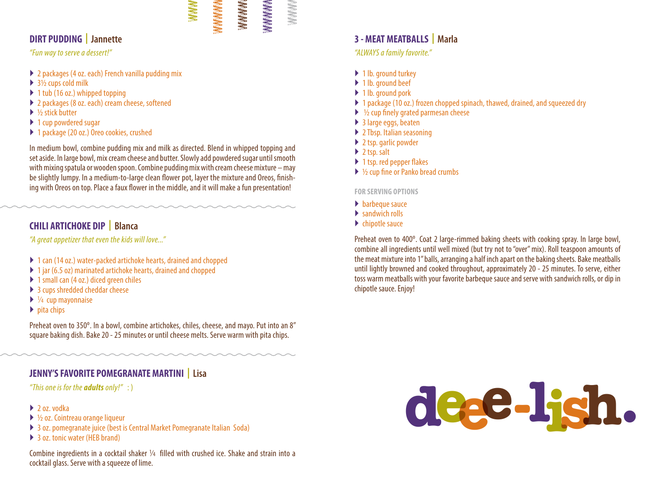#### WWWWW WWWWWW

WWWWW

**WWWWWW** 

WWWWW

#### **DIRT PUDDING | Jannette**

#### "Fun way to serve a dessert!"

- ▶ 2 packages (4 oz. each) French vanilla pudding mix
- $\triangleright$  3½ cups cold milk
- $\blacktriangleright$  1 tub (16 oz.) whipped topping
- ▶ 2 packages (8 oz. each) cream cheese, softened
- $\blacktriangleright$  1/2 stick butter
- ▶ 1 cup powdered sugar
- ▶ 1 package (20 oz.) Oreo cookies, crushed

In medium bowl, combine pudding mix and milk as directed. Blend in whipped topping and set aside. In large bowl, mix cream cheese and butter. Slowly add powdered sugar until smooth with mixing spatula or wooden spoon. Combine pudding mix with cream cheese mixture – may be slightly lumpy. In a medium-to-large clean flower pot, layer the mixture and Oreos, finishing with Oreos on top. Place a faux flower in the middle, and it will make a fun presentation!

#### **CHILI ARTICHOKE DIP | Blanca**

"A great appetizer that even the kids will love..."

- ▶ 1 can (14 oz.) water-packed artichoke hearts, drained and chopped
- ▶ 1 jar (6.5 oz) marinated artichoke hearts, drained and chopped
- ▶ 1 small can (4 oz.) diced green chiles
- ▶ 3 cups shredded cheddar cheese
- $\blacktriangleright$   $\frac{1}{4}$  cup mayonnaise
- $\blacktriangleright$  pita chips

Preheat oven to 350º. In a bowl, combine artichokes, chiles, cheese, and mayo. Put into an 8" square baking dish. Bake 20 - 25 minutes or until cheese melts. Serve warm with pita chips.

#### **JENNY'S FAVORITE POMEGRANATE MARTINI | Lisa**

"This one is for the **adults** only!" : )

#### $\blacktriangleright$  2 oz. vodka

- $\triangleright$  1/2 oz. Cointreau orange liqueur
- ▶ 3 oz. pomegranate juice (best is Central Market Pomegranate Italian Soda)
- $\blacktriangleright$  3 oz. tonic water (HFB brand)

Combine ingredients in a cocktail shaker  $\frac{1}{4}$  filled with crushed ice. Shake and strain into a cocktail glass. Serve with a squeeze of lime.

#### **3 - MEAT MEATBALLS | Marla**

"ALWAYS a family favorite."

- ▶ 1 lb. ground turkey
- ▶ 1 lb. ground beef
- ▶ 1 lb. ground pork
- ▶ 1 package (10 oz.) frozen chopped spinach, thawed, drained, and squeezed dry
- $\blacktriangleright$   $\frac{1}{2}$  cup finely grated parmesan cheese
- $\blacktriangleright$  3 large eggs, beaten
- ▶ 2 Tbsp. Italian seasoning
- ▶ 2 tsp. garlic powder
- $\blacktriangleright$  2 tsp. salt
- ▶ 1 tsp. red pepper flakes
- ▶ ½ cup fine or Panko bread crumbs

**FOR SERVING OPTIONS**

- $\blacktriangleright$  barbeque sauce
- $\blacktriangleright$  sandwich rolls
- $\blacktriangleright$  chipotle sauce

Preheat oven to 400º. Coat 2 large-rimmed baking sheets with cooking spray. In large bowl, combine all ingredients until well mixed (but try not to "over" mix). Roll teaspoon amounts of the meat mixture into 1" balls, arranging a half inch apart on the baking sheets. Bake meatballs until lightly browned and cooked throughout, approximately 20 - 25 minutes. To serve, either toss warm meatballs with your favorite barbeque sauce and serve with sandwich rolls, or dip in chipotle sauce. Enjoy!

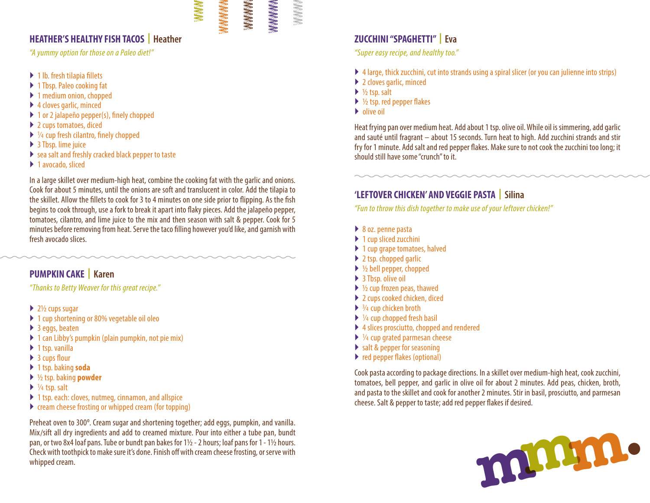#### WWWWW WWWWWW

WWWWW

WWWWWW

WWWWW

#### **HEATHER'S HEALTHY FISH TACOS | Heather**

"A yummy option for those on a Paleo diet!"

- $\blacktriangleright$  1 lb. fresh tilapia fillets
- ▶ 1 Tbsp. Paleo cooking fat
- ▶ 1 medium onion, chopped
- ▶ 4 cloves garlic, minced
- $\blacktriangleright$  1 or 2 jalapeño pepper(s), finely chopped
- $\blacktriangleright$  2 cups tomatoes, diced
- ▶ 1/4 cup fresh cilantro, finely chopped
- ▶ 3 Tbsp. lime juice
- $\blacktriangleright$  sea salt and freshly cracked black pepper to taste
- ▶ 1 avocado, sliced

In a large skillet over medium-high heat, combine the cooking fat with the garlic and onions. Cook for about 5 minutes, until the onions are soft and translucent in color. Add the tilapia to the skillet. Allow the fillets to cook for 3 to 4 minutes on one side prior to flipping. As the fish begins to cook through, use a fork to break it apart into flaky pieces. Add the jalapeño pepper, tomatoes, cilantro, and lime juice to the mix and then season with salt & pepper. Cook for 5 minutes before removing from heat. Serve the taco filling however you'd like, and garnish with fresh avocado slices.

#### **PUMPKIN CAKE | Karen**

"Thanks to Betty Weaver for this great recipe."

- $\blacktriangleright$  2½ cups sugar
- ▶ 1 cup shortening or 80% vegetable oil oleo
- $\blacktriangleright$  3 eggs, beaten
- $\blacktriangleright$  1 can Libby's pumpkin (plain pumpkin, not pie mix)
- $\blacktriangleright$  1 tsp. vanilla
- $\triangleright$  3 cups flour
- } 1 tsp. baking **soda**
- } ½ tsp. baking **powder**
- ▶ 1/<sub>4</sub> tsp. salt
- ▶ 1 tsp. each: cloves, nutmeg, cinnamon, and allspice
- $\blacktriangleright$  cream cheese frosting or whipped cream (for topping)

Preheat oven to 300º. Cream sugar and shortening together; add eggs, pumpkin, and vanilla. Mix/sift all dry ingredients and add to creamed mixture. Pour into either a tube pan, bundt pan, or two 8x4 loaf pans. Tube or bundt pan bakes for 1½ - 2 hours; loaf pans for 1 - 1½ hours. Check with toothpick to make sure it's done. Finish off with cream cheese frosting, or serve with whipped cream.

#### **ZUCCHINI "SPAGHETTI" | Eva**

"Super easy recipe, and healthy too."

- } 4 large, thick zucchini, cut into strands using a spiral slicer (or you can julienne into strips)
- ▶ 2 cloves garlic, minced
- $\triangleright$  1/2 tsp. salt
- $\triangleright$  1/2 tsp. red pepper flakes
- $\blacktriangleright$  olive oil

Heat frying pan over medium heat. Add about 1 tsp. olive oil. While oil is simmering, add garlic and sauté until fragrant – about 15 seconds. Turn heat to high. Add zucchini strands and stir fry for 1 minute. Add salt and red pepper flakes. Make sure to not cook the zucchini too long; it should still have some "crunch" to it.

#### **'LEFTOVER CHICKEN' AND VEGGIE PASTA | Silina**

"Fun to throw this dish together to make use of your leftover chicken!"

- ▶ 8 oz. penne pasta
- $\blacktriangleright$  1 cup sliced zucchini
- $\blacktriangleright$  1 cup grape tomatoes, halved
- $\blacktriangleright$  2 tsp. chopped garlic
- $\triangleright$  ½ bell pepper, chopped
- $\triangleright$  3 Tbsp. olive oil
- $\blacktriangleright$  1/2 cup frozen peas, thawed
- ▶ 2 cups cooked chicken, diced
- ▶ 3/4 cup chicken broth
- $\blacktriangleright$   $\frac{1}{4}$  cup chopped fresh basil
- $\blacktriangleright$  4 slices prosciutto, chopped and rendered
- ▶ 1/4 cup grated parmesan cheese
- $\triangleright$  salt & pepper for seasoning
- red pepper flakes (optional)

Cook pasta according to package directions. In a skillet over medium-high heat, cook zucchini, tomatoes, bell pepper, and garlic in olive oil for about 2 minutes. Add peas, chicken, broth, and pasta to the skillet and cook for another 2 minutes. Stir in basil, prosciutto, and parmesan cheese. Salt & pepper to taste; add red pepper flakes if desired.

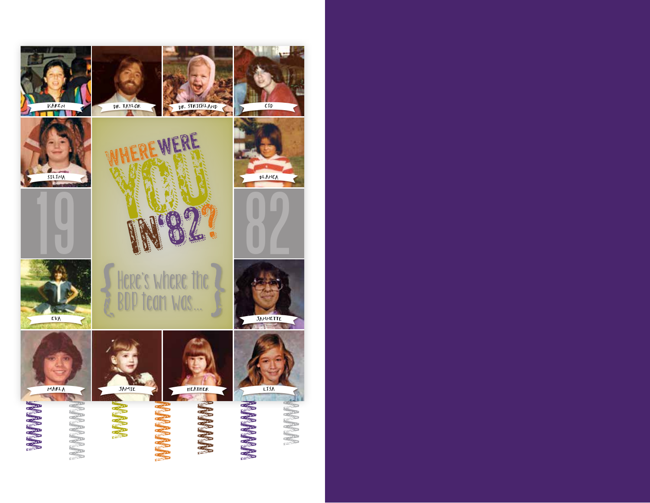